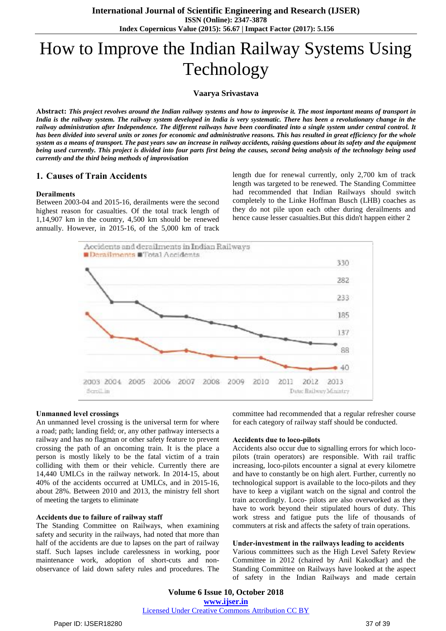# How to Improve the Indian Railway Systems Using Technology

#### **Vaarya Srivastava**

Abstract: This project revolves around the Indian railway systems and how to improvise it. The most important means of transport in India is the railway system. The railway system developed in India is very systematic. There has been a revolutionary change in the railway administration after Independence. The different railways have been coordinated into a single system under central control. It has been divided into several units or zones for economic and administrative reasons. This has resulted in great efficiency for the whole system as a means of transport. The past years saw an increase in railway accidents, raising questions about its safety and the equipment being used currently. This project is divided into four parts first being the causes, second being analysis of the technology being used *currently and the third being methods of improvisation*

# **1. Causes of Train Accidents**

#### **Derailments**

Between 2003-04 and 2015-16, derailments were the second highest reason for casualties. Of the total track length of 1,14,907 km in the country, 4,500 km should be renewed annually. However, in 2015-16, of the 5,000 km of track length due for renewal currently, only 2,700 km of track length was targeted to be renewed. The Standing Committee had recommended that Indian Railways should switch completely to the Linke Hoffman Busch (LHB) coaches as they do not pile upon each other during derailments and hence cause lesser casualties.But this didn't happen either 2



#### **Unmanned level crossings**

An unmanned level crossing is the universal term for where a road; path; landing field; or, any other pathway intersects a railway and has no flagman or other safety feature to prevent crossing the path of an oncoming train. It is the place a person is mostly likely to be the fatal victim of a train colliding with them or their vehicle. Currently there are 14,440 UMLCs in the railway network. In 2014-15, about 40% of the accidents occurred at UMLCs, and in 2015-16, about 28%. Between 2010 and 2013, the ministry fell short of meeting the targets to eliminate

#### **Accidents due to failure of railway staff**

The Standing Committee on Railways, when examining safety and security in the railways, had noted that more than half of the accidents are due to lapses on the part of railway staff. Such lapses include carelessness in working, poor maintenance work, adoption of short-cuts and nonobservance of laid down safety rules and procedures. The committee had recommended that a regular refresher course for each category of railway staff should be conducted.

#### **Accidents due to loco-pilots**

Accidents also occur due to signalling errors for which locopilots (train operators) are responsible. With rail traffic increasing, loco-pilots encounter a signal at every kilometre and have to constantly be on high alert. Further, currently no technological support is available to the loco-pilots and they have to keep a vigilant watch on the signal and control the train accordingly. Loco- pilots are also overworked as they have to work beyond their stipulated hours of duty. This work stress and fatigue puts the life of thousands of commuters at risk and affects the safety of train operations.

#### **Under-investment in the railways leading to accidents**

Various committees such as the High Level Safety Review Committee in 2012 (chaired by Anil Kakodkar) and the Standing Committee on Railways have looked at the aspect of safety in the Indian Railways and made certain

**Volume 6 Issue 10, October 2018 www.ijser.in** Licensed Under Creative Commons Attribution CC BY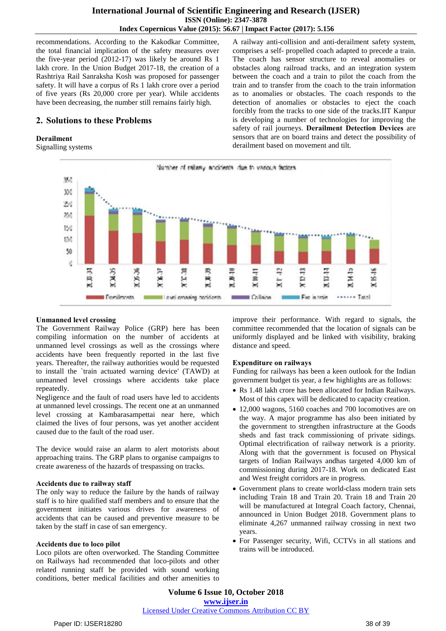# **International Journal of Scientific Engineering and Research (IJSER) ISSN (Online): 2347-3878 Index Copernicus Value (2015): 56.67 | Impact Factor (2017): 5.156**

recommendations. According to the Kakodkar Committee, the total financial implication of the safety measures over the five-year period (2012-17) was likely be around Rs 1 lakh crore. In the Union Budget 2017-18, the creation of a Rashtriya Rail Sanraksha Kosh was proposed for passenger safety. It will have a corpus of Rs 1 lakh crore over a period of five years (Rs 20,000 crore per year). While accidents have been decreasing, the number still remains fairly high.

# **2. Solutions to these Problems**

## **Derailment**

Signalling systems

A railway anti-collision and anti-derailment safety system, comprises a self- propelled coach adapted to precede a train. The coach has sensor structure to reveal anomalies or obstacles along railroad tracks, and an integration system between the coach and a train to pilot the coach from the train and to transfer from the coach to the train information as to anomalies or obstacles. The coach responds to the detection of anomalies or obstacles to eject the coach forcibly from the tracks to one side of the tracks.IIT Kanpur is developing a number of technologies for improving the safety of rail journeys. **Derailment Detection Devices** are sensors that are on board trains and detect the possibility of derailment based on movement and tilt.



## **Unmanned level crossing**

The Government Railway Police (GRP) here has been compiling information on the number of accidents at unmanned level crossings as well as the crossings where accidents have been frequently reported in the last five years. Thereafter, the railway authorities would be requested to install the `train actuated warning device' (TAWD) at unmanned level crossings where accidents take place repeatedly.

Negligence and the fault of road users have led to accidents at unmanned level crossings. The recent one at an unmanned level crossing at Kambarasampettai near here, which claimed the lives of four persons, was yet another accident caused due to the fault of the road user.

The device would raise an alarm to alert motorists about approaching trains. The GRP plans to organise campaigns to create awareness of the hazards of trespassing on tracks.

## **Accidents due to railway staff**

The only way to reduce the failure by the hands of railway staff is to hire qualified staff members and to ensure that the government initiates various drives for awareness of accidents that can be caused and preventive measure to be taken by the staff in case of san emergency.

## **Accidents due to loco pilot**

Loco pilots are often overworked. The Standing Committee on Railways had recommended that loco-pilots and other related running staff be provided with sound working conditions, better medical facilities and other amenities to improve their performance. With regard to signals, the committee recommended that the location of signals can be uniformly displayed and be linked with visibility, braking distance and speed.

## **Expenditure on railways**

Funding for railways has been a keen outlook for the Indian government budget tis year, a few highlights are as follows:

- Rs 1.48 lakh crore has been allocated for Indian Railways. Most of this capex will be dedicated to capacity creation.
- 12,000 wagons, 5160 coaches and 700 locomotives are on the way. A major programme has also been initiated by the government to strengthen infrastructure at the Goods sheds and fast track commissioning of private sidings. Optimal electrification of railway network is a priority. Along with that the government is focused on Physical targets of Indian Railways andhas targeted 4,000 km of commissioning during 2017-18. Work on dedicated East and West freight corridors are in progress.
- Government plans to create world-class modern train sets including Train 18 and Train 20. Train 18 and Train 20 will be manufactured at Integral Coach factory, Chennai, announced in Union Budget 2018. Government plans to eliminate 4,267 unmanned railway crossing in next two years.
- For Passenger security, Wifi, CCTVs in all stations and trains will be introduced.

**Volume 6 Issue 10, October 2018 www.ijser.in** Licensed Under Creative Commons Attribution CC BY